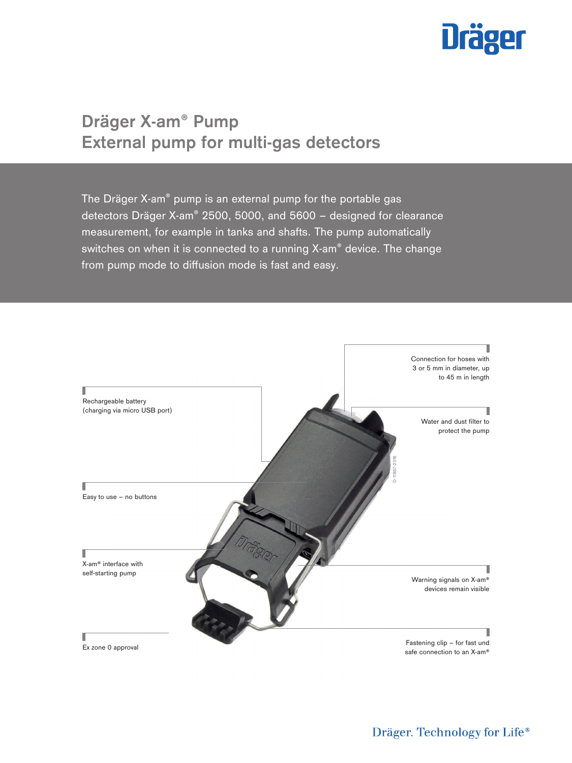

# **Dräger X-am® Pump External pump for multi-gas detectors**

The Dräger X-am® pump is an external pump for the portable gas detectors Dräger X-am® 2500, 5000, and 5600 – designed for clearance measurement, for example in tanks and shafts. The pump automatically switches on when it is connected to a running X-am® device. The change from pump mode to diffusion mode is fast and easy.

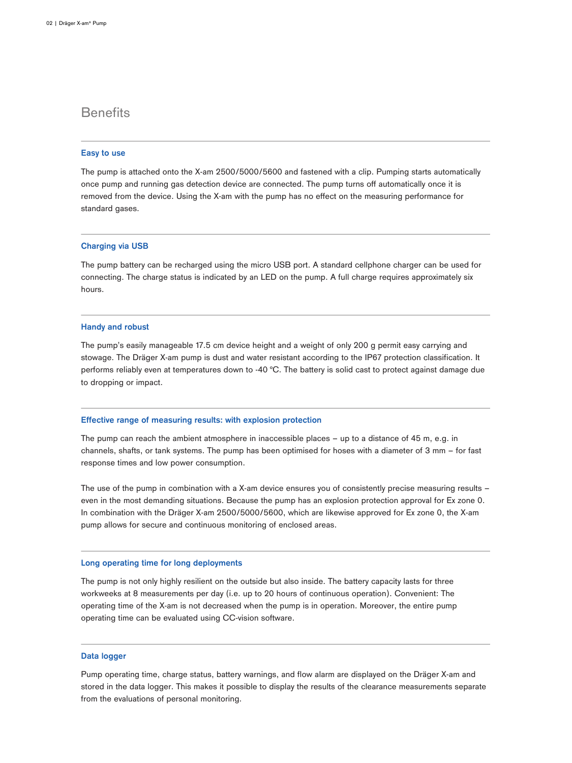# **Benefits**

# **Easy to use**

The pump is attached onto the X-am 2500/5000/5600 and fastened with a clip. Pumping starts automatically once pump and running gas detection device are connected. The pump turns off automatically once it is removed from the device. Using the X-am with the pump has no effect on the measuring performance for standard gases.

# **Charging via USB**

The pump battery can be recharged using the micro USB port. A standard cellphone charger can be used for connecting. The charge status is indicated by an LED on the pump. A full charge requires approximately six hours.

## **Handy and robust**

The pump's easily manageable 17.5 cm device height and a weight of only 200 g permit easy carrying and stowage. The Dräger X-am pump is dust and water resistant according to the IP67 protection classification. It performs reliably even at temperatures down to -40 °C. The battery is solid cast to protect against damage due to dropping or impact.

## **Effective range of measuring results: with explosion protection**

The pump can reach the ambient atmosphere in inaccessible places – up to a distance of 45 m, e.g. in channels, shafts, or tank systems. The pump has been optimised for hoses with a diameter of 3 mm – for fast response times and low power consumption.

The use of the pump in combination with a X-am device ensures you of consistently precise measuring results – even in the most demanding situations. Because the pump has an explosion protection approval for Ex zone 0. In combination with the Dräger X-am 2500/5000/5600, which are likewise approved for Ex zone 0, the X-am pump allows for secure and continuous monitoring of enclosed areas.

# **Long operating time for long deployments**

The pump is not only highly resilient on the outside but also inside. The battery capacity lasts for three workweeks at 8 measurements per day (i.e. up to 20 hours of continuous operation). Convenient: The operating time of the X-am is not decreased when the pump is in operation. Moreover, the entire pump operating time can be evaluated using CC-vision software.

# **Data logger**

Pump operating time, charge status, battery warnings, and flow alarm are displayed on the Dräger X-am and stored in the data logger. This makes it possible to display the results of the clearance measurements separate from the evaluations of personal monitoring.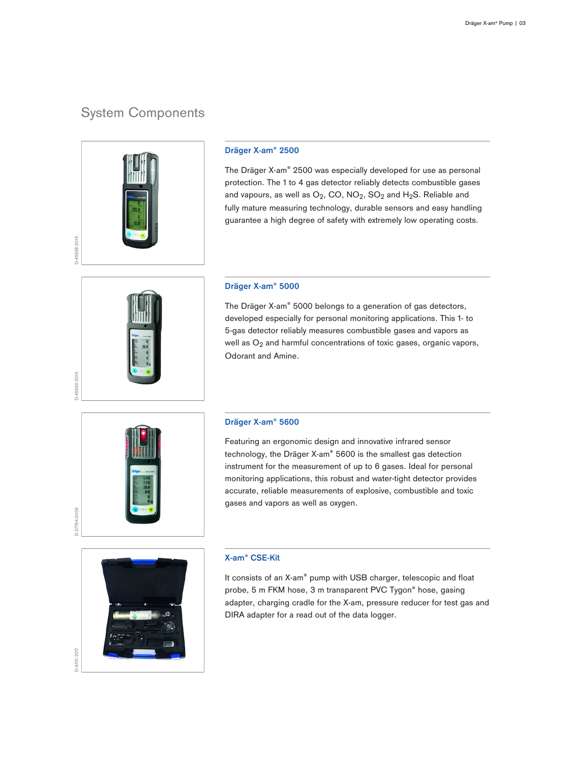# System Components



# **Dräger X-am® 2500**

The Dräger X-am® 2500 was especially developed for use as personal protection. The 1 to 4 gas detector reliably detects combustible gases and vapours, as well as  $O_2$ , CO, NO<sub>2</sub>, SO<sub>2</sub> and H<sub>2</sub>S. Reliable and fully mature measuring technology, durable sensors and easy handling guarantee a high degree of safety with extremely low operating costs.

# **Dräger X-am® 5000**

The Dräger X-am® 5000 belongs to a generation of gas detectors, developed especially for personal monitoring applications. This 1- to 5-gas detector reliably measures combustible gases and vapors as well as  $O_2$  and harmful concentrations of toxic gases, organic vapors, Odorant and Amine.



D-45939-2015

# **Dräger X-am® 5600**

Featuring an ergonomic design and innovative infrared sensor technology, the Dräger X-am® 5600 is the smallest gas detection instrument for the measurement of up to 6 gases. Ideal for personal monitoring applications, this robust and water-tight detector provides accurate, reliable measurements of explosive, combustible and toxic gases and vapors as well as oxygen.



# **X-am® CSE-Kit**

It consists of an X-am® pump with USB charger, telescopic and float probe, 5 m FKM hose, 3 m transparent PVC Tygon® hose, gasing adapter, charging cradle for the X-am, pressure reducer for test gas and DIRA adapter for a read out of the data logger.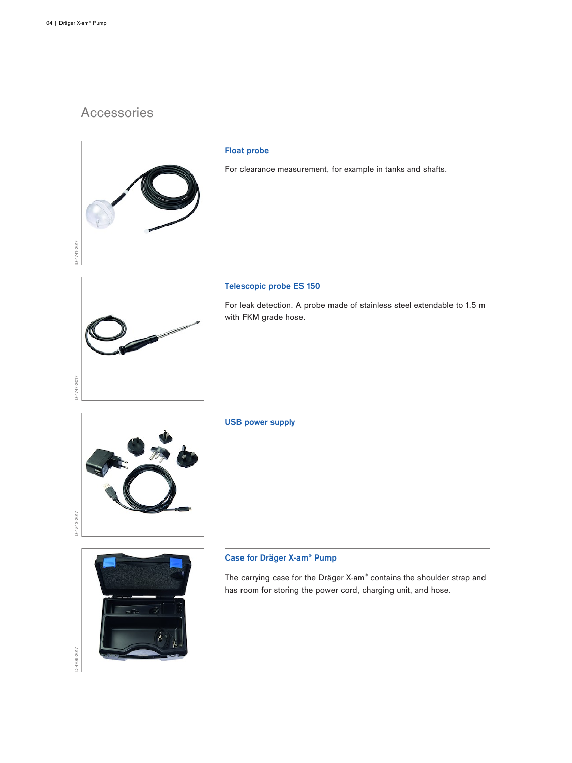# Accessories



# **Float probe**

For clearance measurement, for example in tanks and shafts.



# **Telescopic probe ES 150**

For leak detection. A probe made of stainless steel extendable to 1.5 m with FKM grade hose.



# **USB power supply**

# **Case for Dräger X-am® Pump**

The carrying case for the Dräger X-am® contains the shoulder strap and has room for storing the power cord, charging unit, and hose.

D-4706-2017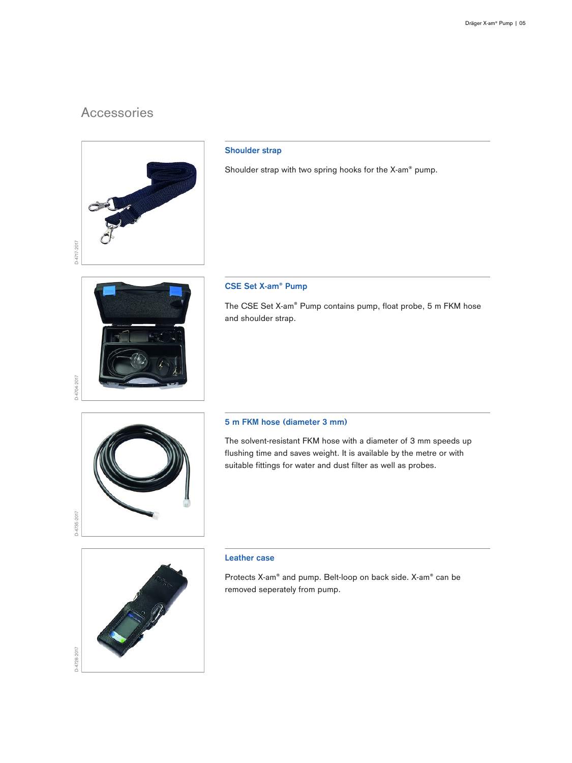# Accessories



# **Shoulder strap**

Shoulder strap with two spring hooks for the X-am® pump.

# **CSE Set X-am® Pump**

The CSE Set X-am® Pump contains pump, float probe, 5 m FKM hose and shoulder strap.

# D-4735-2017

D-4704-2017

# **5 m FKM hose (diameter 3 mm)**

The solvent-resistant FKM hose with a diameter of 3 mm speeds up flushing time and saves weight. It is available by the metre or with suitable fittings for water and dust filter as well as probes.



# **Leather case**

Protects X-am® and pump. Belt-loop on back side. X-am® can be removed seperately from pump.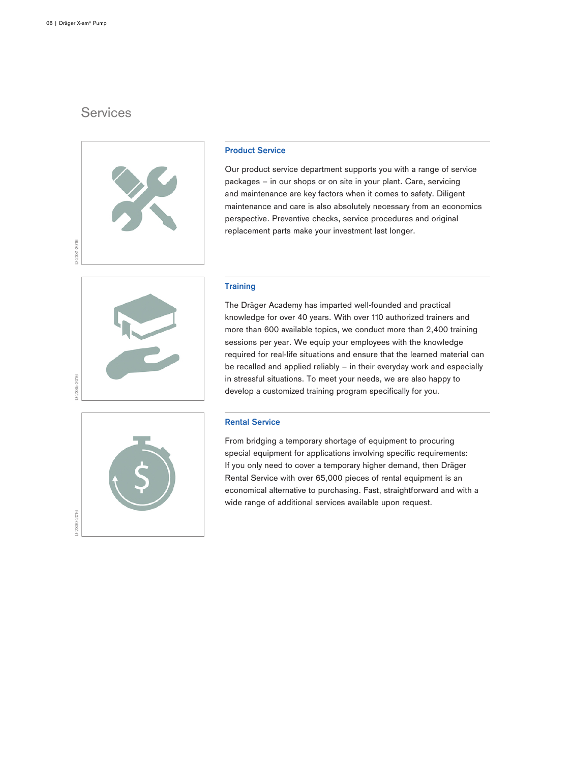# **Services**



# **Product Service**

Our product service department supports you with a range of service packages – in our shops or on site in your plant. Care, servicing and maintenance are key factors when it comes to safety. Diligent maintenance and care is also absolutely necessary from an economics perspective. Preventive checks, service procedures and original replacement parts make your investment last longer.

# **Training**



D-2330-2016

The Dräger Academy has imparted well-founded and practical knowledge for over 40 years. With over 110 authorized trainers and more than 600 available topics, we conduct more than 2,400 training sessions per year. We equip your employees with the knowledge required for real-life situations and ensure that the learned material can be recalled and applied reliably – in their everyday work and especially in stressful situations. To meet your needs, we are also happy to develop a customized training program specifically for you.

# **Rental Service**

From bridging a temporary shortage of equipment to procuring special equipment for applications involving specific requirements: If you only need to cover a temporary higher demand, then Dräger Rental Service with over 65,000 pieces of rental equipment is an economical alternative to purchasing. Fast, straightforward and with a wide range of additional services available upon request.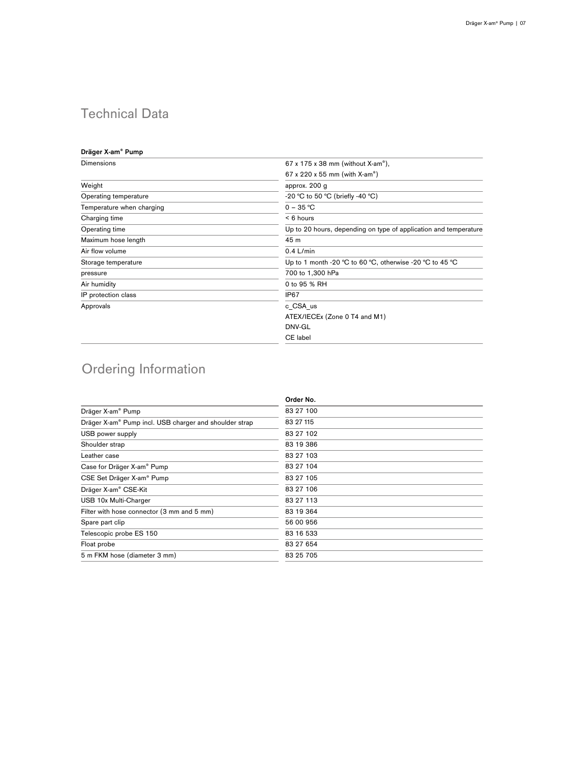# Technical Data

# **Dräger X-am® Pump**

| Dimensions                | $67 \times 175 \times 38$ mm (without X-am <sup>®</sup> ),       |
|---------------------------|------------------------------------------------------------------|
|                           | 67 x 220 x 55 mm (with X-am <sup>®</sup> )                       |
| Weight                    | approx. 200 g                                                    |
| Operating temperature     | -20 °C to 50 °C (briefly -40 °C)                                 |
| Temperature when charging | $0 - 35 °C$                                                      |
| Charging time             | $< 6$ hours                                                      |
| Operating time            | Up to 20 hours, depending on type of application and temperature |
| Maximum hose length       | 45 m                                                             |
| Air flow volume           | $0.4$ L/min                                                      |
| Storage temperature       | Up to 1 month -20 °C to 60 °C, otherwise -20 °C to 45 °C         |
| pressure                  | 700 to 1,300 hPa                                                 |
| Air humidity              | 0 to 95 % RH                                                     |
| IP protection class       | IP67                                                             |
| Approvals                 | c CSA us                                                         |
|                           | ATEX/IECEx (Zone 0 T4 and M1)                                    |
|                           | DNV-GL                                                           |
|                           | CE label                                                         |

# Ordering Information

| Order No. |
|-----------|
| 83 27 100 |
| 83 27 115 |
| 83 27 102 |
| 83 19 386 |
| 83 27 103 |
| 83 27 104 |
| 83 27 105 |
| 83 27 106 |
| 83 27 113 |
| 83 19 364 |
| 56 00 956 |
| 83 16 533 |
| 83 27 654 |
| 83 25 705 |
|           |